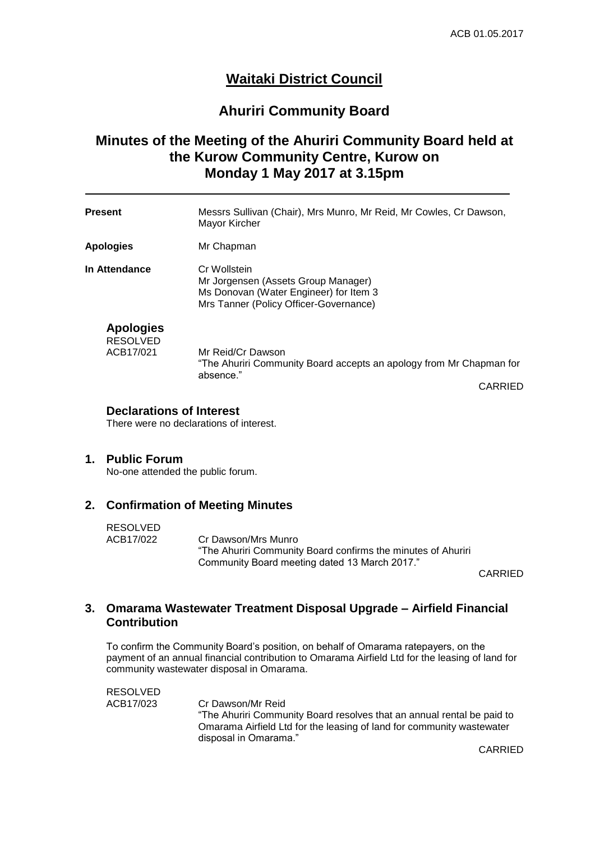# **Waitaki District Council**

## **Ahuriri Community Board**

# **Minutes of the Meeting of the Ahuriri Community Board held at the Kurow Community Centre, Kurow on Monday 1 May 2017 at 3.15pm**

| <b>Present</b>                                   | Messrs Sullivan (Chair), Mrs Munro, Mr Reid, Mr Cowles, Cr Dawson,<br>Mayor Kircher                                                     |
|--------------------------------------------------|-----------------------------------------------------------------------------------------------------------------------------------------|
| <b>Apologies</b>                                 | Mr Chapman                                                                                                                              |
| In Attendance                                    | Cr Wollstein<br>Mr Jorgensen (Assets Group Manager)<br>Ms Donovan (Water Engineer) for Item 3<br>Mrs Tanner (Policy Officer-Governance) |
| <b>Apologies</b><br><b>RESOLVED</b><br>ACB17/021 | Mr Reid/Cr Dawson<br>"The Ahuriri Community Board accepts an apology from Mr Chapman for<br>absence."                                   |

CARRIED

### **Declarations of Interest**

There were no declarations of interest.

### **1. Public Forum**

No-one attended the public forum.

### **2. Confirmation of Meeting Minutes**

RESOLVED

ACB17/022 Cr Dawson/Mrs Munro "The Ahuriri Community Board confirms the minutes of Ahuriri Community Board meeting dated 13 March 2017."

CARRIED

## **3. Omarama Wastewater Treatment Disposal Upgrade – Airfield Financial Contribution**

To confirm the Community Board's position, on behalf of Omarama ratepayers, on the payment of an annual financial contribution to Omarama Airfield Ltd for the leasing of land for community wastewater disposal in Omarama.

| RESOLVED  |                                                                        |
|-----------|------------------------------------------------------------------------|
| ACB17/023 | Cr Dawson/Mr Reid                                                      |
|           | "The Ahuriri Community Board resolves that an annual rental be paid to |
|           | Omarama Airfield Ltd for the leasing of land for community wastewater  |
|           | disposal in Omarama."                                                  |

CARRIED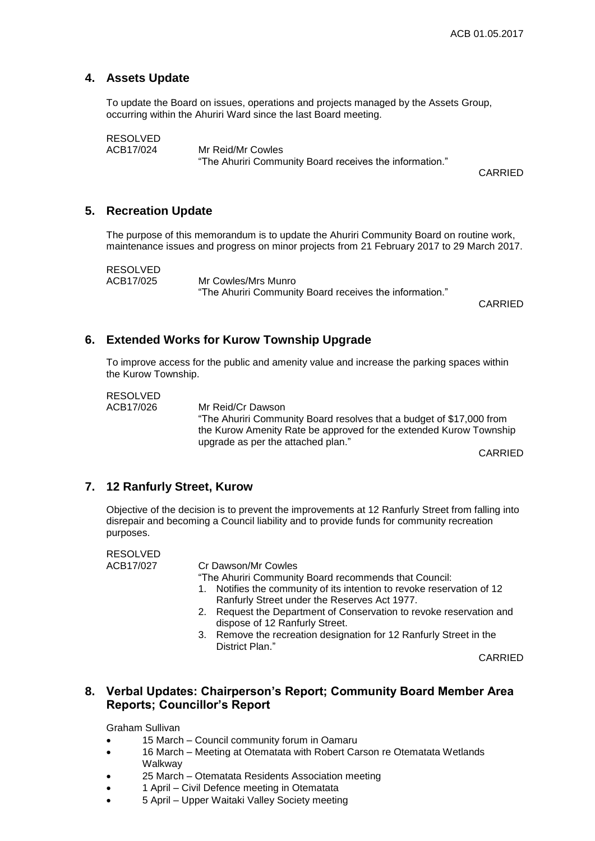## **4. Assets Update**

To update the Board on issues, operations and projects managed by the Assets Group, occurring within the Ahuriri Ward since the last Board meeting.

RESOLVED<br>ACB17/024

Mr Reid/Mr Cowles "The Ahuriri Community Board receives the information."

CARRIED

### **5. Recreation Update**

The purpose of this memorandum is to update the Ahuriri Community Board on routine work, maintenance issues and progress on minor projects from 21 February 2017 to 29 March 2017.

RESOLVED<br>ACB17/025

Mr Cowles/Mrs Munro "The Ahuriri Community Board receives the information."

CARRIED

## **6. Extended Works for Kurow Township Upgrade**

To improve access for the public and amenity value and increase the parking spaces within the Kurow Township.

RESOLVED

ACB17/026 Mr Reid/Cr Dawson "The Ahuriri Community Board resolves that a budget of \$17,000 from the Kurow Amenity Rate be approved for the extended Kurow Township upgrade as per the attached plan."

CARRIED

### **7. 12 Ranfurly Street, Kurow**

Objective of the decision is to prevent the improvements at 12 Ranfurly Street from falling into disrepair and becoming a Council liability and to provide funds for community recreation purposes.

RESOLVED

ACB17/027 Cr Dawson/Mr Cowles

"The Ahuriri Community Board recommends that Council:

- 1. Notifies the community of its intention to revoke reservation of 12 Ranfurly Street under the Reserves Act 1977.
- 2. Request the Department of Conservation to revoke reservation and dispose of 12 Ranfurly Street.
- 3. Remove the recreation designation for 12 Ranfurly Street in the District Plan."

CARRIED

## **8. Verbal Updates: Chairperson's Report; Community Board Member Area Reports; Councillor's Report**

Graham Sullivan

- 15 March Council community forum in Oamaru
- 16 March Meeting at Otematata with Robert Carson re Otematata Wetlands Walkway
- 25 March Otematata Residents Association meeting
- 1 April Civil Defence meeting in Otematata
- 5 April Upper Waitaki Valley Society meeting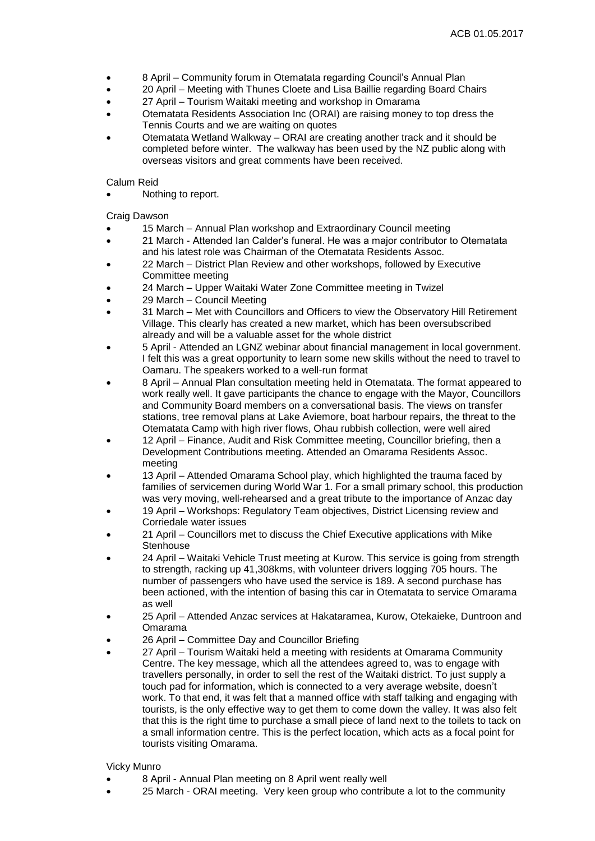- 8 April Community forum in Otematata regarding Council's Annual Plan
- 20 April Meeting with Thunes Cloete and Lisa Baillie regarding Board Chairs
- 27 April Tourism Waitaki meeting and workshop in Omarama
- Otematata Residents Association Inc (ORAI) are raising money to top dress the Tennis Courts and we are waiting on quotes
- Otematata Wetland Walkway ORAI are creating another track and it should be completed before winter. The walkway has been used by the NZ public along with overseas visitors and great comments have been received.

#### Calum Reid

Nothing to report.

Craig Dawson

- 15 March Annual Plan workshop and Extraordinary Council meeting
- 21 March Attended Ian Calder's funeral. He was a major contributor to Otematata and his latest role was Chairman of the Otematata Residents Assoc.
- 22 March District Plan Review and other workshops, followed by Executive Committee meeting
- 24 March Upper Waitaki Water Zone Committee meeting in Twizel
- 29 March Council Meeting
- 31 March Met with Councillors and Officers to view the Observatory Hill Retirement Village. This clearly has created a new market, which has been oversubscribed already and will be a valuable asset for the whole district
- 5 April Attended an LGNZ webinar about financial management in local government. I felt this was a great opportunity to learn some new skills without the need to travel to Oamaru. The speakers worked to a well-run format
- 8 April Annual Plan consultation meeting held in Otematata. The format appeared to work really well. It gave participants the chance to engage with the Mayor, Councillors and Community Board members on a conversational basis. The views on transfer stations, tree removal plans at Lake Aviemore, boat harbour repairs, the threat to the Otematata Camp with high river flows, Ohau rubbish collection, were well aired
- 12 April Finance, Audit and Risk Committee meeting, Councillor briefing, then a Development Contributions meeting. Attended an Omarama Residents Assoc. meeting
- 13 April Attended Omarama School play, which highlighted the trauma faced by families of servicemen during World War 1. For a small primary school, this production was very moving, well-rehearsed and a great tribute to the importance of Anzac day
- 19 April Workshops: Regulatory Team objectives, District Licensing review and Corriedale water issues
- 21 April Councillors met to discuss the Chief Executive applications with Mike **Stenhouse**
- 24 April Waitaki Vehicle Trust meeting at Kurow. This service is going from strength to strength, racking up 41,308kms, with volunteer drivers logging 705 hours. The number of passengers who have used the service is 189. A second purchase has been actioned, with the intention of basing this car in Otematata to service Omarama as well
- 25 April Attended Anzac services at Hakataramea, Kurow, Otekaieke, Duntroon and Omarama
- 26 April Committee Day and Councillor Briefing
- 27 April Tourism Waitaki held a meeting with residents at Omarama Community Centre. The key message, which all the attendees agreed to, was to engage with travellers personally, in order to sell the rest of the Waitaki district. To just supply a touch pad for information, which is connected to a very average website, doesn't work. To that end, it was felt that a manned office with staff talking and engaging with tourists, is the only effective way to get them to come down the valley. It was also felt that this is the right time to purchase a small piece of land next to the toilets to tack on a small information centre. This is the perfect location, which acts as a focal point for tourists visiting Omarama.

#### Vicky Munro

- 8 April Annual Plan meeting on 8 April went really well
- 25 March ORAI meeting. Very keen group who contribute a lot to the community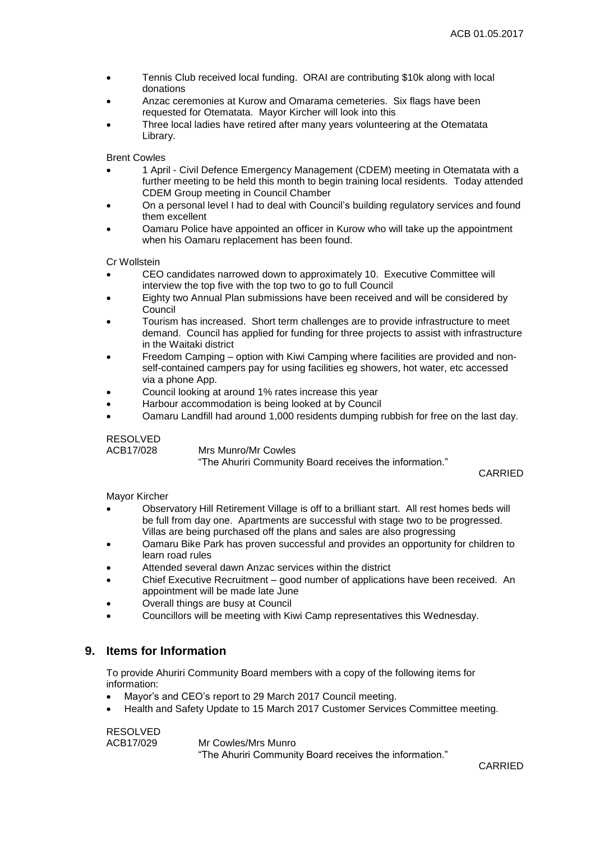- Tennis Club received local funding. ORAI are contributing \$10k along with local donations
- Anzac ceremonies at Kurow and Omarama cemeteries. Six flags have been requested for Otematata. Mayor Kircher will look into this
- Three local ladies have retired after many years volunteering at the Otematata Library.

Brent Cowles

- 1 April Civil Defence Emergency Management (CDEM) meeting in Otematata with a further meeting to be held this month to begin training local residents. Today attended CDEM Group meeting in Council Chamber
- On a personal level I had to deal with Council's building regulatory services and found them excellent
- Oamaru Police have appointed an officer in Kurow who will take up the appointment when his Oamaru replacement has been found.

Cr Wollstein

- CEO candidates narrowed down to approximately 10. Executive Committee will interview the top five with the top two to go to full Council
- Eighty two Annual Plan submissions have been received and will be considered by Council
- Tourism has increased. Short term challenges are to provide infrastructure to meet demand. Council has applied for funding for three projects to assist with infrastructure in the Waitaki district
- Freedom Camping option with Kiwi Camping where facilities are provided and nonself-contained campers pay for using facilities eg showers, hot water, etc accessed via a phone App.
- Council looking at around 1% rates increase this year
- Harbour accommodation is being looked at by Council
- Oamaru Landfill had around 1,000 residents dumping rubbish for free on the last day.

RESOLVED<br>ACB17/028

**Mrs Munro/Mr Cowles** "The Ahuriri Community Board receives the information."

CARRIED

Mayor Kircher

- Observatory Hill Retirement Village is off to a brilliant start. All rest homes beds will be full from day one. Apartments are successful with stage two to be progressed. Villas are being purchased off the plans and sales are also progressing
- Oamaru Bike Park has proven successful and provides an opportunity for children to learn road rules
- Attended several dawn Anzac services within the district
- Chief Executive Recruitment good number of applications have been received. An appointment will be made late June
- Overall things are busy at Council
- Councillors will be meeting with Kiwi Camp representatives this Wednesday.

#### **9. Items for Information**

To provide Ahuriri Community Board members with a copy of the following items for information:

- Mayor's and CEO's report to 29 March 2017 Council meeting.
- Health and Safety Update to 15 March 2017 Customer Services Committee meeting.

RESOLVED

ACB17/029 Mr Cowles/Mrs Munro "The Ahuriri Community Board receives the information."